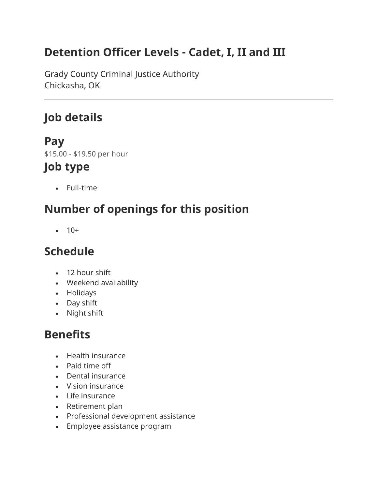### **Detention Officer Levels - Cadet, I, II and III**

Grady County Criminal Justice Authority Chickasha, OK

### **Job details**

### **Pay**

\$15.00 - \$19.50 per hour

### **Job type**

• Full-time

## **Number of openings for this position**

 $• 10+$ 

### **Schedule**

- 12 hour shift
- Weekend availability
- Holidays
- Day shift
- Night shift

## **Benefits**

- Health insurance
- Paid time off
- Dental insurance
- Vision insurance
- Life insurance
- Retirement plan
- Professional development assistance
- Employee assistance program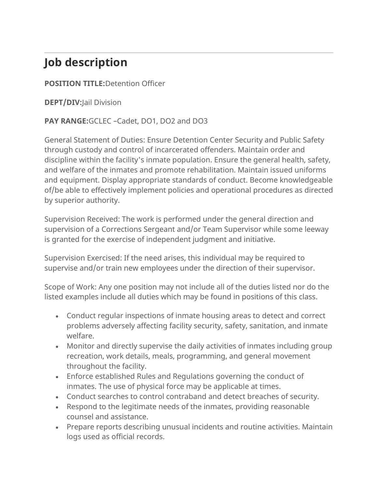## **Job description**

#### **POSITION TITLE:**Detention Officer

**DEPT/DIV:**Jail Division

#### **PAY RANGE:**GCLEC –Cadet, DO1, DO2 and DO3

General Statement of Duties: Ensure Detention Center Security and Public Safety through custody and control of incarcerated offenders. Maintain order and discipline within the facility's inmate population. Ensure the general health, safety, and welfare of the inmates and promote rehabilitation. Maintain issued uniforms and equipment. Display appropriate standards of conduct. Become knowledgeable of/be able to effectively implement policies and operational procedures as directed by superior authority.

Supervision Received: The work is performed under the general direction and supervision of a Corrections Sergeant and/or Team Supervisor while some leeway is granted for the exercise of independent judgment and initiative.

Supervision Exercised: If the need arises, this individual may be required to supervise and/or train new employees under the direction of their supervisor.

Scope of Work: Any one position may not include all of the duties listed nor do the listed examples include all duties which may be found in positions of this class.

- Conduct regular inspections of inmate housing areas to detect and correct problems adversely affecting facility security, safety, sanitation, and inmate welfare.
- Monitor and directly supervise the daily activities of inmates including group recreation, work details, meals, programming, and general movement throughout the facility.
- Enforce established Rules and Regulations governing the conduct of inmates. The use of physical force may be applicable at times.
- Conduct searches to control contraband and detect breaches of security.
- Respond to the legitimate needs of the inmates, providing reasonable counsel and assistance.
- Prepare reports describing unusual incidents and routine activities. Maintain logs used as official records.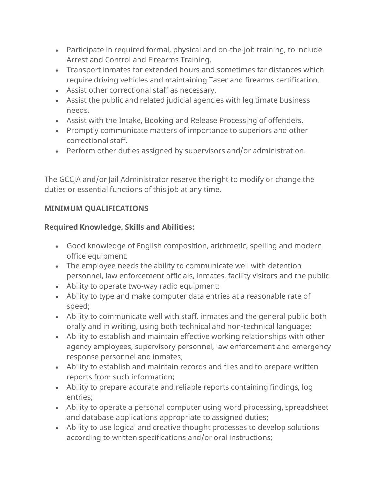- Participate in required formal, physical and on-the-job training, to include Arrest and Control and Firearms Training.
- Transport inmates for extended hours and sometimes far distances which require driving vehicles and maintaining Taser and firearms certification.
- Assist other correctional staff as necessary.
- Assist the public and related judicial agencies with legitimate business needs.
- Assist with the Intake, Booking and Release Processing of offenders.
- Promptly communicate matters of importance to superiors and other correctional staff.
- Perform other duties assigned by supervisors and/or administration.

The GCCJA and/or Jail Administrator reserve the right to modify or change the duties or essential functions of this job at any time.

#### **MINIMUM QUALIFICATIONS**

#### **Required Knowledge, Skills and Abilities:**

- Good knowledge of English composition, arithmetic, spelling and modern office equipment;
- The employee needs the ability to communicate well with detention personnel, law enforcement officials, inmates, facility visitors and the public
- Ability to operate two-way radio equipment;
- Ability to type and make computer data entries at a reasonable rate of speed;
- Ability to communicate well with staff, inmates and the general public both orally and in writing, using both technical and non-technical language;
- Ability to establish and maintain effective working relationships with other agency employees, supervisory personnel, law enforcement and emergency response personnel and inmates;
- Ability to establish and maintain records and files and to prepare written reports from such information;
- Ability to prepare accurate and reliable reports containing findings, log entries;
- Ability to operate a personal computer using word processing, spreadsheet and database applications appropriate to assigned duties;
- Ability to use logical and creative thought processes to develop solutions according to written specifications and/or oral instructions;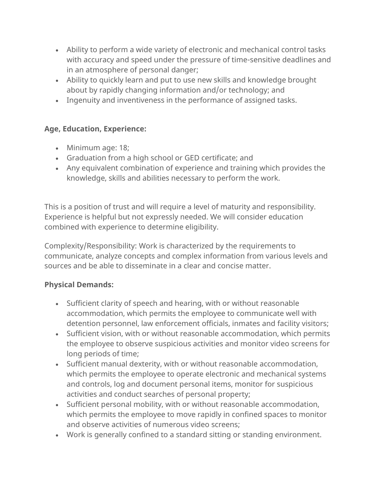- Ability to perform a wide variety of electronic and mechanical control tasks with accuracy and speed under the pressure of time-sensitive deadlines and in an atmosphere of personal danger;
- Ability to quickly learn and put to use new skills and knowledge brought about by rapidly changing information and/or technology; and
- Ingenuity and inventiveness in the performance of assigned tasks.

#### **Age, Education, Experience:**

- Minimum age: 18;
- Graduation from a high school or GED certificate; and
- Any equivalent combination of experience and training which provides the knowledge, skills and abilities necessary to perform the work.

This is a position of trust and will require a level of maturity and responsibility. Experience is helpful but not expressly needed. We will consider education combined with experience to determine eligibility.

Complexity/Responsibility: Work is characterized by the requirements to communicate, analyze concepts and complex information from various levels and sources and be able to disseminate in a clear and concise matter.

#### **Physical Demands:**

- Sufficient clarity of speech and hearing, with or without reasonable accommodation, which permits the employee to communicate well with detention personnel, law enforcement officials, inmates and facility visitors;
- Sufficient vision, with or without reasonable accommodation, which permits the employee to observe suspicious activities and monitor video screens for long periods of time;
- Sufficient manual dexterity, with or without reasonable accommodation, which permits the employee to operate electronic and mechanical systems and controls, log and document personal items, monitor for suspicious activities and conduct searches of personal property;
- Sufficient personal mobility, with or without reasonable accommodation, which permits the employee to move rapidly in confined spaces to monitor and observe activities of numerous video screens;
- Work is generally confined to a standard sitting or standing environment.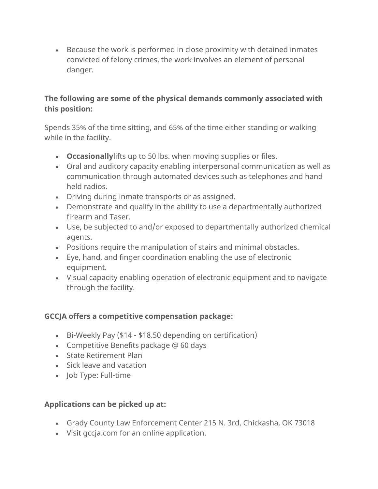• Because the work is performed in close proximity with detained inmates convicted of felony crimes, the work involves an element of personal danger.

#### **The following are some of the physical demands commonly associated with this position:**

Spends 35% of the time sitting, and 65% of the time either standing or walking while in the facility.

- **Occasionally**lifts up to 50 lbs. when moving supplies or files.
- Oral and auditory capacity enabling interpersonal communication as well as communication through automated devices such as telephones and hand held radios.
- Driving during inmate transports or as assigned.
- Demonstrate and qualify in the ability to use a departmentally authorized firearm and Taser.
- Use, be subjected to and/or exposed to departmentally authorized chemical agents.
- Positions require the manipulation of stairs and minimal obstacles.
- Eye, hand, and finger coordination enabling the use of electronic equipment.
- Visual capacity enabling operation of electronic equipment and to navigate through the facility.

#### **GCCJA offers a competitive compensation package:**

- Bi-Weekly Pay (\$14 \$18.50 depending on certification)
- Competitive Benefits package @ 60 days
- State Retirement Plan
- Sick leave and vacation
- Job Type: Full-time

#### **Applications can be picked up at:**

- Grady County Law Enforcement Center 215 N. 3rd, Chickasha, OK 73018
- Visit gccja.com for an online application.